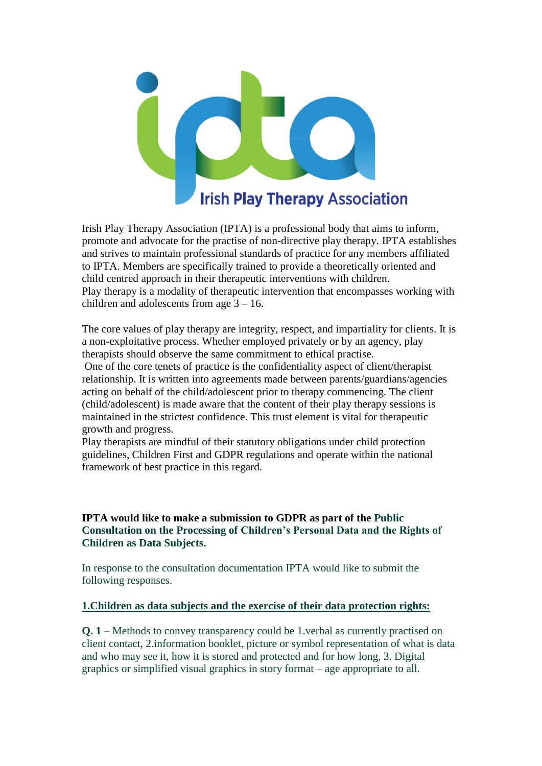

Irish Play Therapy Association (IPTA) is a professional body that aims to inform, promote and advocate for the practise of non-directive play therapy. IPTA establishes and strives to maintain professional standards of practice for any members affiliated to IPTA. Members are specifically trained to provide a theoretically oriented and child centred approach in their therapeutic interventions with children. Play therapy is a modality of therapeutic intervention that encompasses working with children and adolescents from age 3 – 16.

The core values of play therapy are integrity, respect, and impartiality for clients. It is a non-exploitative process. Whether employed privately or by an agency, play therapists should observe the same commitment to ethical practise.

One of the core tenets of practice is the confidentiality aspect of client/therapist relationship. It is written into agreements made between parents/guardians/agencies acting on behalf of the child/adolescent prior to therapy commencing. The client (child/adolescent) is made aware that the content of their play therapy sessions is maintained in the strictest confidence. This trust element is vital for therapeutic growth and progress.

Play therapists are mindful of their statutory obligations under child protection guidelines, Children First and GDPR regulations and operate within the national framework of best practice in this regard.

## **IPTA would like to make a submission to GDPR as part of the Public Consultation on the Processing of Children's Personal Data and the Rights of Children as Data Subjects.**

In response to the consultation documentation IPTA would like to submit the following responses.

#### **1.Children as data subjects and the exercise of their data protection rights:**

**Q. 1 –** Methods to convey transparency could be 1.verbal as currently practised on client contact, 2.information booklet, picture or symbol representation of what is data and who may see it, how it is stored and protected and for how long, 3. Digital graphics or simplified visual graphics in story format – age appropriate to all.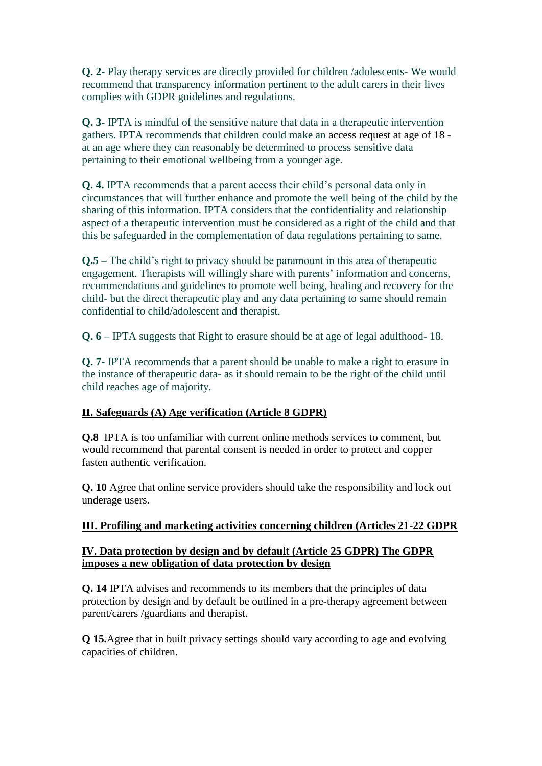**Q. 2-** Play therapy services are directly provided for children /adolescents- We would recommend that transparency information pertinent to the adult carers in their lives complies with GDPR guidelines and regulations.

**Q. 3-** IPTA is mindful of the sensitive nature that data in a therapeutic intervention gathers. IPTA recommends that children could make an access request at age of 18 at an age where they can reasonably be determined to process sensitive data pertaining to their emotional wellbeing from a younger age.

**Q. 4.** IPTA recommends that a parent access their child's personal data only in circumstances that will further enhance and promote the well being of the child by the sharing of this information. IPTA considers that the confidentiality and relationship aspect of a therapeutic intervention must be considered as a right of the child and that this be safeguarded in the complementation of data regulations pertaining to same.

**Q.5 –** The child's right to privacy should be paramount in this area of therapeutic engagement. Therapists will willingly share with parents' information and concerns, recommendations and guidelines to promote well being, healing and recovery for the child- but the direct therapeutic play and any data pertaining to same should remain confidential to child/adolescent and therapist.

**Q. 6** – IPTA suggests that Right to erasure should be at age of legal adulthood- 18.

**Q. 7-** IPTA recommends that a parent should be unable to make a right to erasure in the instance of therapeutic data- as it should remain to be the right of the child until child reaches age of majority.

## **II. Safeguards (A) Age verification (Article 8 GDPR)**

**Q.8** IPTA is too unfamiliar with current online methods services to comment, but would recommend that parental consent is needed in order to protect and copper fasten authentic verification.

**Q. 10** Agree that online service providers should take the responsibility and lock out underage users.

#### **III. Profiling and marketing activities concerning children (Articles 21-22 GDPR**

## **IV. Data protection by design and by default (Article 25 GDPR) The GDPR imposes a new obligation of data protection by design**

**Q. 14** IPTA advises and recommends to its members that the principles of data protection by design and by default be outlined in a pre-therapy agreement between parent/carers /guardians and therapist.

**Q 15.**Agree that in built privacy settings should vary according to age and evolving capacities of children.